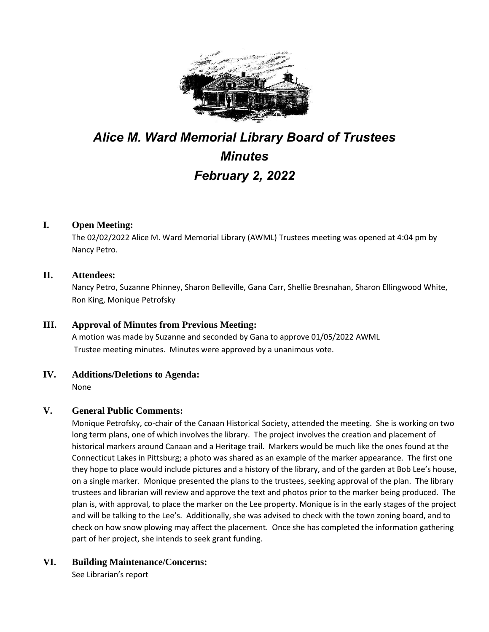

# *Alice M. Ward Memorial Library Board of Trustees Minutes February 2, 2022*

## **I. Open Meeting:**

The 02/02/2022 Alice M. Ward Memorial Library (AWML) Trustees meeting was opened at 4:04 pm by Nancy Petro.

#### **II. Attendees:**

Nancy Petro, Suzanne Phinney, Sharon Belleville, Gana Carr, Shellie Bresnahan, Sharon Ellingwood White, Ron King, Monique Petrofsky

#### **III. Approval of Minutes from Previous Meeting:**

A motion was made by Suzanne and seconded by Gana to approve 01/05/2022 AWML Trustee meeting minutes. Minutes were approved by a unanimous vote.

## **IV. Additions/Deletions to Agenda:**

None

#### **V. General Public Comments:**

Monique Petrofsky, co-chair of the Canaan Historical Society, attended the meeting. She is working on two long term plans, one of which involves the library. The project involves the creation and placement of historical markers around Canaan and a Heritage trail. Markers would be much like the ones found at the Connecticut Lakes in Pittsburg; a photo was shared as an example of the marker appearance. The first one they hope to place would include pictures and a history of the library, and of the garden at Bob Lee's house, on a single marker. Monique presented the plans to the trustees, seeking approval of the plan. The library trustees and librarian will review and approve the text and photos prior to the marker being produced. The plan is, with approval, to place the marker on the Lee property. Monique is in the early stages of the project and will be talking to the Lee's. Additionally, she was advised to check with the town zoning board, and to check on how snow plowing may affect the placement. Once she has completed the information gathering part of her project, she intends to seek grant funding.

## **VI. Building Maintenance/Concerns:**

See Librarian's report